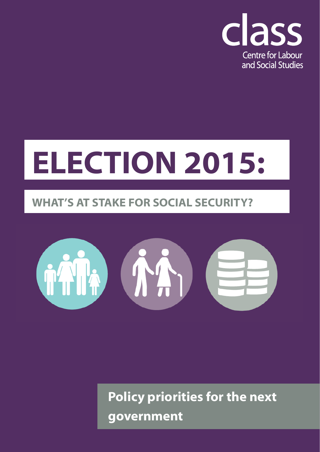

# **ELECTION 2015:**

## **WHAT'S AT STAKE FOR SOCIAL SECURITY?**



**Policy priorities for the next government**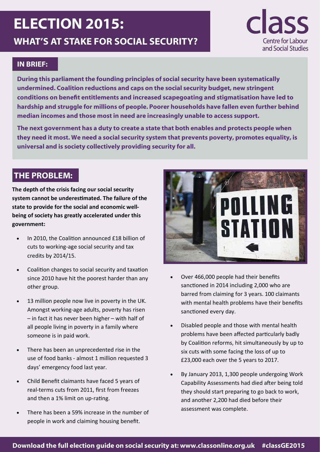# **ELECTION 2015: WHAT'S AT STAKE FOR SOCIAL SECURITY?**



#### **IN BRIEF:**

**During this parliament the founding principles of social security have been systematically undermined. Coalition reductions and caps on the social security budget, new stringent conditions on benefit entitlements and increased scapegoating and stigmatisation have led to hardship and struggle for millions of people. Poorer households have fallen even further behind median incomes and those most in need are increasingly unable to access support.** 

**The next government has a duty to create a state that both enables and protects people when they need it most. We need a social security system that prevents poverty, promotes equality, is universal and is society collectively providing security for all.**

#### **THE PROBLEM:**

**The depth of the crisis facing our social security system cannot be underestimated. The failure of the state to provide for the social and economic wellbeing of society has greatly accelerated under this government:** 

- In 2010, the Coalition announced £18 billion of cuts to working-age social security and tax credits by 2014/15.
- Coalition changes to social security and taxation since 2010 have hit the poorest harder than any other group.
- 13 million people now live in poverty in the UK. Amongst working-age adults, poverty has risen – in fact it has never been higher – with half of all people living in poverty in a family where someone is in paid work.
- There has been an unprecedented rise in the use of food banks - almost 1 million requested 3 days' emergency food last year.
- Child Benefit claimants have faced 5 years of real-terms cuts from 2011, first from freezes and then a 1% limit on up-rating.
- There has been a 59% increase in the number of people in work and claiming housing benefit.



- Over 466,000 people had their benefits sanctioned in 2014 including 2,000 who are barred from claiming for 3 years. 100 claimants with mental health problems have their benefits sanctioned every day.
- Disabled people and those with mental health problems have been affected particularly badly by Coalition reforms, hit simultaneously by up to six cuts with some facing the loss of up to £23,000 each over the 5 years to 2017.
- By January 2013, 1,300 people undergoing Work Capability Assessments had died after being told they should start preparing to go back to work, and another 2,200 had died before their assessment was complete.